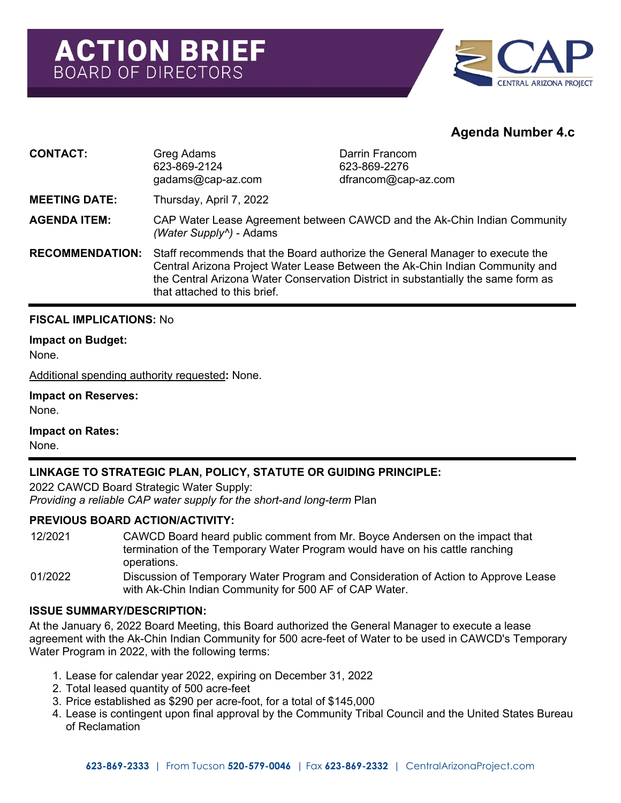

# **Agenda Number 4.c**

| <b>CONTACT:</b>        | Greg Adams<br>623-869-2124<br>gadams@cap-az.com                                                                                                                                                                                                                                   | Darrin Francom<br>623-869-2276<br>dfrancom@cap-az.com |
|------------------------|-----------------------------------------------------------------------------------------------------------------------------------------------------------------------------------------------------------------------------------------------------------------------------------|-------------------------------------------------------|
| <b>MEETING DATE:</b>   | Thursday, April 7, 2022                                                                                                                                                                                                                                                           |                                                       |
| <b>AGENDA ITEM:</b>    | CAP Water Lease Agreement between CAWCD and the Ak-Chin Indian Community<br>(Water Supply <sup>^</sup> ) - Adams                                                                                                                                                                  |                                                       |
| <b>RECOMMENDATION:</b> | Staff recommends that the Board authorize the General Manager to execute the<br>Central Arizona Project Water Lease Between the Ak-Chin Indian Community and<br>the Central Arizona Water Conservation District in substantially the same form as<br>that attached to this brief. |                                                       |

## **FISCAL IMPLICATIONS:** No

## **Impact on Budget:**

None.

Additional spending authority requested**:** None.

#### **Impact on Reserves:**

None.

**Impact on Rates:** None.

# **LINKAGE TO STRATEGIC PLAN, POLICY, STATUTE OR GUIDING PRINCIPLE:**

2022 CAWCD Board Strategic Water Supply: *Providing a reliable CAP water supply for the short-and long-term* Plan

## **PREVIOUS BOARD ACTION/ACTIVITY:**

- 12/2021 CAWCD Board heard public comment from Mr. Boyce Andersen on the impact that termination of the Temporary Water Program would have on his cattle ranching operations.
- 01/2022 Discussion of Temporary Water Program and Consideration of Action to Approve Lease with Ak-Chin Indian Community for 500 AF of CAP Water.

## **ISSUE SUMMARY/DESCRIPTION:**

At the January 6, 2022 Board Meeting, this Board authorized the General Manager to execute a lease agreement with the Ak-Chin Indian Community for 500 acre-feet of Water to be used in CAWCD's Temporary Water Program in 2022, with the following terms:

- 1. Lease for calendar year 2022, expiring on December 31, 2022
- 2. Total leased quantity of 500 acre-feet
- 3. Price established as \$290 per acre-foot, for a total of \$145,000
- 4. Lease is contingent upon final approval by the Community Tribal Council and the United States Bureau of Reclamation